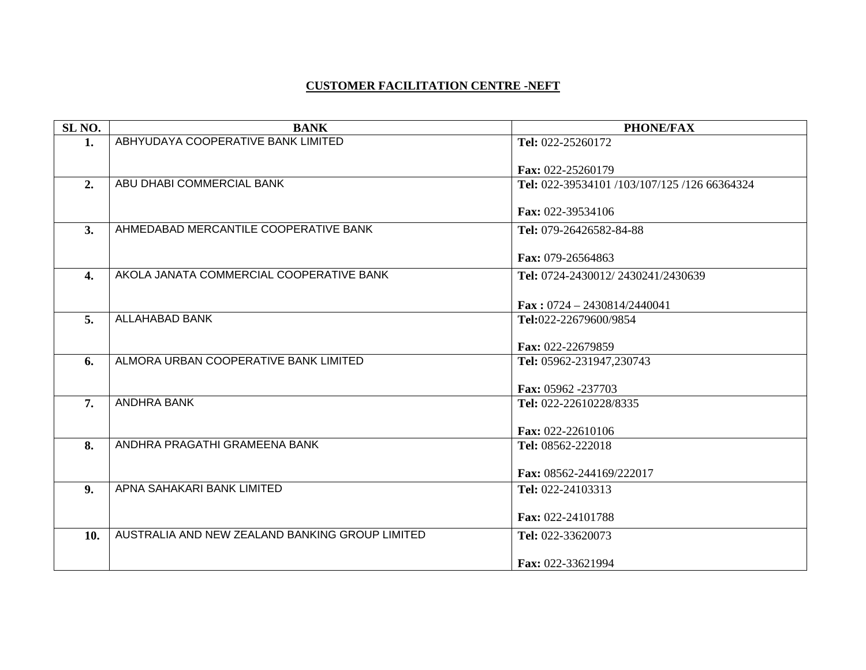## **CUSTOMER FACILITATION CENTRE -NEFT**

| SL <sub>NO</sub> . | <b>BANK</b>                                     | <b>PHONE/FAX</b>                           |
|--------------------|-------------------------------------------------|--------------------------------------------|
| 1.                 | ABHYUDAYA COOPERATIVE BANK LIMITED              | Tel: 022-25260172                          |
|                    |                                                 |                                            |
|                    | ABU DHABI COMMERCIAL BANK                       | Fax: 022-25260179                          |
| 2.                 |                                                 | Tel: 022-39534101/103/107/125/126 66364324 |
|                    |                                                 | Fax: 022-39534106                          |
| 3.                 | AHMEDABAD MERCANTILE COOPERATIVE BANK           | Tel: 079-26426582-84-88                    |
|                    |                                                 |                                            |
|                    |                                                 | Fax: 079-26564863                          |
| $\overline{4}$ .   | AKOLA JANATA COMMERCIAL COOPERATIVE BANK        | Tel: 0724-2430012/2430241/2430639          |
|                    |                                                 |                                            |
|                    |                                                 | Fax: $0724 - 2430814/2440041$              |
| 5.                 | <b>ALLAHABAD BANK</b>                           | Tel:022-22679600/9854                      |
|                    |                                                 | Fax: 022-22679859                          |
| 6.                 | ALMORA URBAN COOPERATIVE BANK LIMITED           | Tel: 05962-231947,230743                   |
|                    |                                                 |                                            |
|                    |                                                 | Fax: 05962 -237703                         |
| 7.                 | <b>ANDHRA BANK</b>                              | Tel: 022-22610228/8335                     |
|                    |                                                 |                                            |
| 8.                 | ANDHRA PRAGATHI GRAMEENA BANK                   | Fax: 022-22610106<br>Tel: 08562-222018     |
|                    |                                                 |                                            |
|                    |                                                 | Fax: 08562-244169/222017                   |
| 9.                 | APNA SAHAKARI BANK LIMITED                      | Tel: 022-24103313                          |
|                    |                                                 |                                            |
|                    |                                                 | Fax: 022-24101788                          |
| 10.                | AUSTRALIA AND NEW ZEALAND BANKING GROUP LIMITED | Tel: 022-33620073                          |
|                    |                                                 |                                            |
|                    |                                                 | Fax: 022-33621994                          |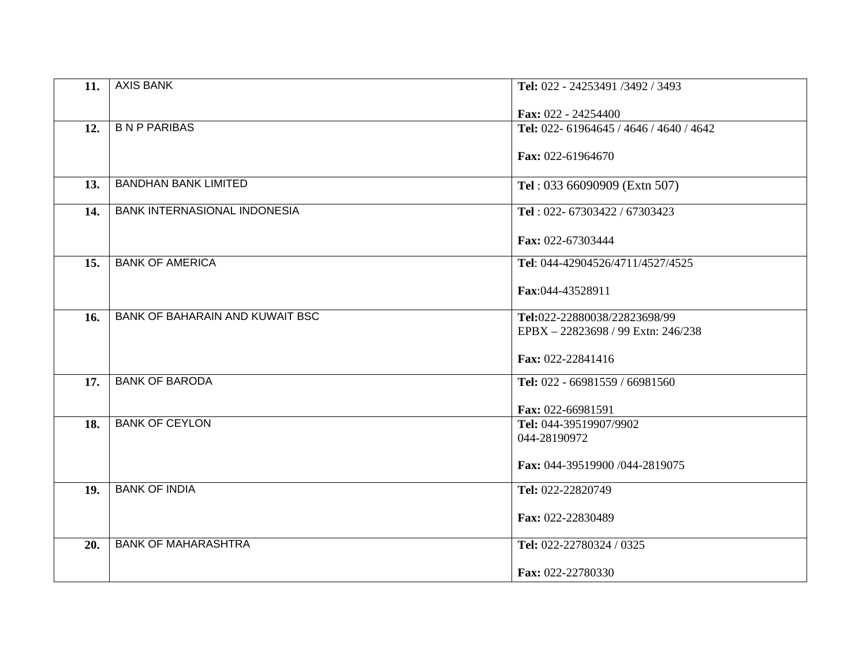| 11. | <b>AXIS BANK</b>                       | Tel: 022 - 24253491 /3492 / 3493        |
|-----|----------------------------------------|-----------------------------------------|
|     |                                        | Fax: 022 - 24254400                     |
| 12. | <b>BNP PARIBAS</b>                     | Tel: 022- 61964645 / 4646 / 4640 / 4642 |
|     |                                        | Fax: 022-61964670                       |
| 13. | <b>BANDHAN BANK LIMITED</b>            | Tel: 033 66090909 (Extn 507)            |
|     |                                        |                                         |
| 14. | <b>BANK INTERNASIONAL INDONESIA</b>    | Tel: 022- 67303422 / 67303423           |
|     |                                        | Fax: 022-67303444                       |
|     |                                        |                                         |
| 15. | <b>BANK OF AMERICA</b>                 | Tel: 044-42904526/4711/4527/4525        |
|     |                                        | Fax:044-43528911                        |
| 16. | <b>BANK OF BAHARAIN AND KUWAIT BSC</b> | Tel:022-22880038/22823698/99            |
|     |                                        | EPBX-22823698 / 99 Extn: 246/238        |
|     |                                        | Fax: 022-22841416                       |
|     |                                        |                                         |
| 17. | <b>BANK OF BARODA</b>                  | Tel: 022 - 66981559 / 66981560          |
|     |                                        | Fax: 022-66981591                       |
| 18. | <b>BANK OF CEYLON</b>                  | Tel: 044-39519907/9902                  |
|     |                                        | 044-28190972                            |
|     |                                        | Fax: 044-39519900 /044-2819075          |
|     |                                        |                                         |
| 19. | <b>BANK OF INDIA</b>                   | Tel: 022-22820749                       |
|     |                                        | Fax: 022-22830489                       |
|     |                                        |                                         |
| 20. | <b>BANK OF MAHARASHTRA</b>             | Tel: 022-22780324 / 0325                |
|     |                                        | Fax: 022-22780330                       |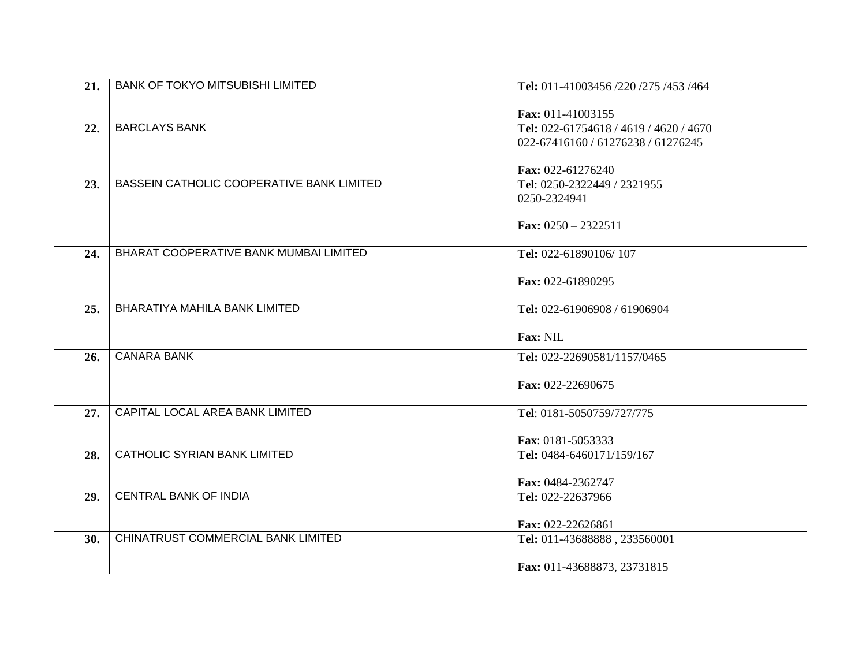| 21. | <b>BANK OF TOKYO MITSUBISHI LIMITED</b>   | Tel: 011-41003456 /220 /275 /453 /464  |
|-----|-------------------------------------------|----------------------------------------|
|     |                                           | Fax: 011-41003155                      |
| 22. | <b>BARCLAYS BANK</b>                      | Tel: 022-61754618 / 4619 / 4620 / 4670 |
|     |                                           | 022-67416160 / 61276238 / 61276245     |
|     |                                           |                                        |
|     |                                           | Fax: 022-61276240                      |
| 23. | BASSEIN CATHOLIC COOPERATIVE BANK LIMITED | Tel: 0250-2322449 / 2321955            |
|     |                                           | 0250-2324941                           |
|     |                                           |                                        |
|     |                                           | Fax: $0250 - 2322511$                  |
| 24. | BHARAT COOPERATIVE BANK MUMBAI LIMITED    | Tel: 022-61890106/107                  |
|     |                                           |                                        |
|     |                                           | Fax: 022-61890295                      |
|     |                                           |                                        |
| 25. | <b>BHARATIYA MAHILA BANK LIMITED</b>      | Tel: 022-61906908 / 61906904           |
|     |                                           |                                        |
|     |                                           | Fax: NIL                               |
| 26. | <b>CANARA BANK</b>                        | Tel: 022-22690581/1157/0465            |
|     |                                           |                                        |
|     |                                           | Fax: 022-22690675                      |
|     | CAPITAL LOCAL AREA BANK LIMITED           |                                        |
| 27. |                                           | Tel: 0181-5050759/727/775              |
|     |                                           | Fax: 0181-5053333                      |
| 28. | CATHOLIC SYRIAN BANK LIMITED              | Tel: 0484-6460171/159/167              |
|     |                                           |                                        |
|     |                                           | Fax: 0484-2362747                      |
| 29. | <b>CENTRAL BANK OF INDIA</b>              | Tel: 022-22637966                      |
|     |                                           |                                        |
|     | CHINATRUST COMMERCIAL BANK LIMITED        | Fax: 022-22626861                      |
| 30. |                                           | Tel: 011-43688888, 233560001           |
|     |                                           | Fax: 011-43688873, 23731815            |
|     |                                           |                                        |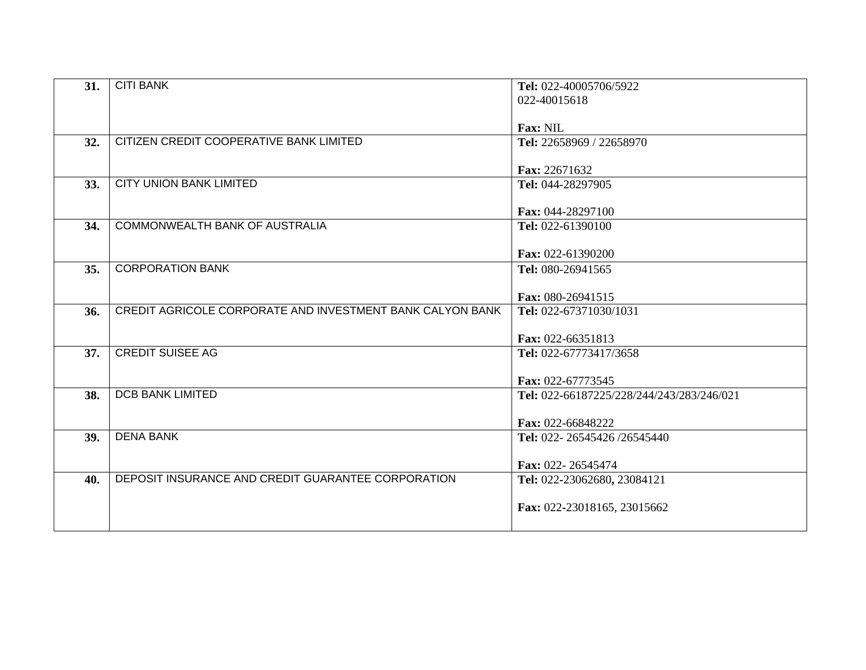| 31. | <b>CITI BANK</b>                                          | Tel: 022-40005706/5922                    |
|-----|-----------------------------------------------------------|-------------------------------------------|
|     |                                                           | 022-40015618                              |
|     |                                                           |                                           |
|     |                                                           | <b>Fax: NIL</b>                           |
| 32. | CITIZEN CREDIT COOPERATIVE BANK LIMITED                   | Tel: 22658969 / 22658970                  |
|     |                                                           |                                           |
|     |                                                           | Fax: 22671632                             |
| 33. | <b>CITY UNION BANK LIMITED</b>                            | Tel: 044-28297905                         |
|     |                                                           |                                           |
|     |                                                           | Fax: 044-28297100                         |
| 34. | <b>COMMONWEALTH BANK OF AUSTRALIA</b>                     | Tel: 022-61390100                         |
|     |                                                           |                                           |
|     |                                                           | Fax: 022-61390200                         |
| 35. | <b>CORPORATION BANK</b>                                   | Tel: 080-26941565                         |
|     |                                                           | Fax: 080-26941515                         |
| 36. | CREDIT AGRICOLE CORPORATE AND INVESTMENT BANK CALYON BANK | Tel: 022-67371030/1031                    |
|     |                                                           |                                           |
|     |                                                           | Fax: 022-66351813                         |
| 37. | <b>CREDIT SUISEE AG</b>                                   | Tel: 022-67773417/3658                    |
|     |                                                           |                                           |
|     |                                                           | Fax: 022-67773545                         |
| 38. | <b>DCB BANK LIMITED</b>                                   | Tel: 022-66187225/228/244/243/283/246/021 |
|     |                                                           |                                           |
|     |                                                           | Fax: 022-66848222                         |
| 39. | <b>DENA BANK</b>                                          | Tel: 022-26545426/26545440                |
|     |                                                           |                                           |
|     |                                                           | Fax: 022-26545474                         |
| 40. | DEPOSIT INSURANCE AND CREDIT GUARANTEE CORPORATION        | Tel: 022-23062680, 23084121               |
|     |                                                           |                                           |
|     |                                                           | Fax: 022-23018165, 23015662               |
|     |                                                           |                                           |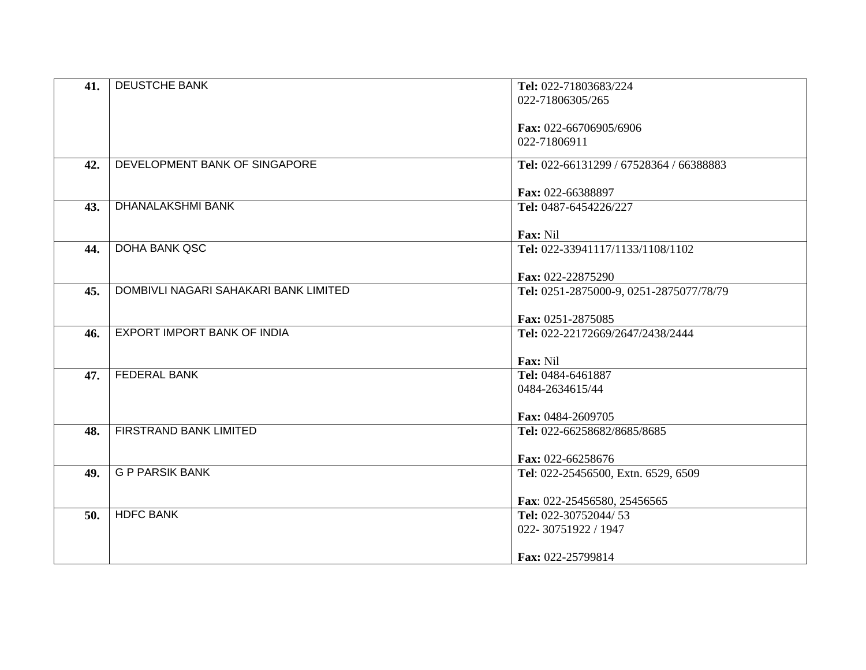|     | <b>DEUSTCHE BANK</b>                  | Tel: 022-71803683/224                   |
|-----|---------------------------------------|-----------------------------------------|
| 41. |                                       |                                         |
|     |                                       | 022-71806305/265                        |
|     |                                       |                                         |
|     |                                       | Fax: 022-66706905/6906                  |
|     |                                       | 022-71806911                            |
|     |                                       |                                         |
| 42. | DEVELOPMENT BANK OF SINGAPORE         | Tel: 022-66131299 / 67528364 / 66388883 |
|     |                                       |                                         |
|     |                                       | Fax: 022-66388897                       |
|     | <b>DHANALAKSHMI BANK</b>              |                                         |
| 43. |                                       | Tel: 0487-6454226/227                   |
|     |                                       |                                         |
|     |                                       | Fax: Nil                                |
| 44. | <b>DOHA BANK QSC</b>                  | Tel: 022-33941117/1133/1108/1102        |
|     |                                       |                                         |
|     |                                       | Fax: 022-22875290                       |
| 45. | DOMBIVLI NAGARI SAHAKARI BANK LIMITED | Tel: 0251-2875000-9, 0251-2875077/78/79 |
|     |                                       |                                         |
|     |                                       |                                         |
|     |                                       | Fax: 0251-2875085                       |
| 46. | EXPORT IMPORT BANK OF INDIA           | Tel: 022-22172669/2647/2438/2444        |
|     |                                       |                                         |
|     |                                       | Fax: Nil                                |
| 47. | <b>FEDERAL BANK</b>                   | Tel: 0484-6461887                       |
|     |                                       | 0484-2634615/44                         |
|     |                                       |                                         |
|     |                                       | Fax: 0484-2609705                       |
|     |                                       |                                         |
| 48. | FIRSTRAND BANK LIMITED                | Tel: 022-66258682/8685/8685             |
|     |                                       |                                         |
|     |                                       | Fax: 022-66258676                       |
| 49. | <b>G P PARSIK BANK</b>                | Tel: 022-25456500, Extn. 6529, 6509     |
|     |                                       |                                         |
|     |                                       | Fax: 022-25456580, 25456565             |
| 50. | <b>HDFC BANK</b>                      | Tel: 022-30752044/53                    |
|     |                                       |                                         |
|     |                                       | 022-30751922 / 1947                     |
|     |                                       |                                         |
|     |                                       | Fax: 022-25799814                       |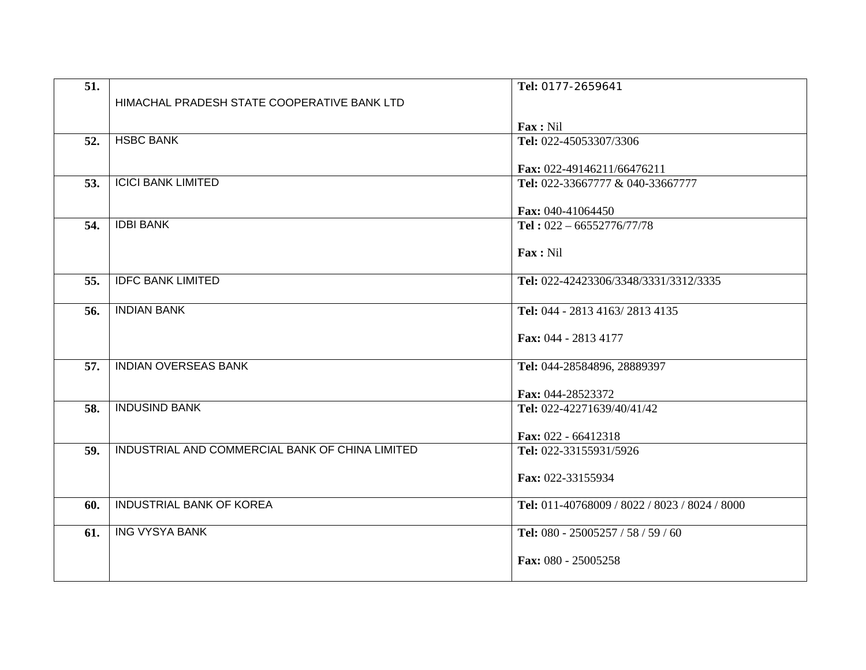| HIMACHAL PRADESH STATE COOPERATIVE BANK LTD<br>Fax: Nil<br><b>HSBC BANK</b><br>Tel: 022-45053307/3306<br>52.<br>Fax: 022-49146211/66476211<br><b>ICICI BANK LIMITED</b><br>Tel: 022-33667777 & 040-33667777<br>53.<br>Fax: 040-41064450<br><b>IDBI BANK</b><br>Tel: $022 - 66552776/77/78$<br>54.<br>Fax: Nil<br><b>IDFC BANK LIMITED</b><br>Tel: 022-42423306/3348/3331/3312/3335<br>55.<br><b>INDIAN BANK</b><br>Tel: 044 - 2813 4163/2813 4135<br>56.<br>Fax: 044 - 2813 4177<br><b>INDIAN OVERSEAS BANK</b><br>57.<br>Tel: 044-28584896, 28889397<br>Fax: 044-28523372<br><b>INDUSIND BANK</b><br>58.<br>Tel: 022-42271639/40/41/42<br>Fax: 022 - 66412318<br>INDUSTRIAL AND COMMERCIAL BANK OF CHINA LIMITED<br>Tel: 022-33155931/5926<br>59.<br>Fax: 022-33155934<br><b>INDUSTRIAL BANK OF KOREA</b><br>Tel: 011-40768009 / 8022 / 8023 / 8024 / 8000<br>60.<br><b>ING VYSYA BANK</b><br>Tel: 080 - 25005257 / 58 / 59 / 60<br>61. | 51. | Tel: 0177-2659641 |
|------------------------------------------------------------------------------------------------------------------------------------------------------------------------------------------------------------------------------------------------------------------------------------------------------------------------------------------------------------------------------------------------------------------------------------------------------------------------------------------------------------------------------------------------------------------------------------------------------------------------------------------------------------------------------------------------------------------------------------------------------------------------------------------------------------------------------------------------------------------------------------------------------------------------------------------|-----|-------------------|
|                                                                                                                                                                                                                                                                                                                                                                                                                                                                                                                                                                                                                                                                                                                                                                                                                                                                                                                                          |     |                   |
|                                                                                                                                                                                                                                                                                                                                                                                                                                                                                                                                                                                                                                                                                                                                                                                                                                                                                                                                          |     |                   |
|                                                                                                                                                                                                                                                                                                                                                                                                                                                                                                                                                                                                                                                                                                                                                                                                                                                                                                                                          |     |                   |
|                                                                                                                                                                                                                                                                                                                                                                                                                                                                                                                                                                                                                                                                                                                                                                                                                                                                                                                                          |     |                   |
|                                                                                                                                                                                                                                                                                                                                                                                                                                                                                                                                                                                                                                                                                                                                                                                                                                                                                                                                          |     |                   |
|                                                                                                                                                                                                                                                                                                                                                                                                                                                                                                                                                                                                                                                                                                                                                                                                                                                                                                                                          |     |                   |
|                                                                                                                                                                                                                                                                                                                                                                                                                                                                                                                                                                                                                                                                                                                                                                                                                                                                                                                                          |     |                   |
|                                                                                                                                                                                                                                                                                                                                                                                                                                                                                                                                                                                                                                                                                                                                                                                                                                                                                                                                          |     |                   |
|                                                                                                                                                                                                                                                                                                                                                                                                                                                                                                                                                                                                                                                                                                                                                                                                                                                                                                                                          |     |                   |
|                                                                                                                                                                                                                                                                                                                                                                                                                                                                                                                                                                                                                                                                                                                                                                                                                                                                                                                                          |     |                   |
|                                                                                                                                                                                                                                                                                                                                                                                                                                                                                                                                                                                                                                                                                                                                                                                                                                                                                                                                          |     |                   |
|                                                                                                                                                                                                                                                                                                                                                                                                                                                                                                                                                                                                                                                                                                                                                                                                                                                                                                                                          |     |                   |
|                                                                                                                                                                                                                                                                                                                                                                                                                                                                                                                                                                                                                                                                                                                                                                                                                                                                                                                                          |     |                   |
|                                                                                                                                                                                                                                                                                                                                                                                                                                                                                                                                                                                                                                                                                                                                                                                                                                                                                                                                          |     |                   |
|                                                                                                                                                                                                                                                                                                                                                                                                                                                                                                                                                                                                                                                                                                                                                                                                                                                                                                                                          |     |                   |
|                                                                                                                                                                                                                                                                                                                                                                                                                                                                                                                                                                                                                                                                                                                                                                                                                                                                                                                                          |     |                   |
|                                                                                                                                                                                                                                                                                                                                                                                                                                                                                                                                                                                                                                                                                                                                                                                                                                                                                                                                          |     |                   |
|                                                                                                                                                                                                                                                                                                                                                                                                                                                                                                                                                                                                                                                                                                                                                                                                                                                                                                                                          |     |                   |
|                                                                                                                                                                                                                                                                                                                                                                                                                                                                                                                                                                                                                                                                                                                                                                                                                                                                                                                                          |     |                   |
|                                                                                                                                                                                                                                                                                                                                                                                                                                                                                                                                                                                                                                                                                                                                                                                                                                                                                                                                          |     |                   |
|                                                                                                                                                                                                                                                                                                                                                                                                                                                                                                                                                                                                                                                                                                                                                                                                                                                                                                                                          |     |                   |
|                                                                                                                                                                                                                                                                                                                                                                                                                                                                                                                                                                                                                                                                                                                                                                                                                                                                                                                                          |     |                   |
|                                                                                                                                                                                                                                                                                                                                                                                                                                                                                                                                                                                                                                                                                                                                                                                                                                                                                                                                          |     |                   |
|                                                                                                                                                                                                                                                                                                                                                                                                                                                                                                                                                                                                                                                                                                                                                                                                                                                                                                                                          |     |                   |
|                                                                                                                                                                                                                                                                                                                                                                                                                                                                                                                                                                                                                                                                                                                                                                                                                                                                                                                                          |     |                   |
|                                                                                                                                                                                                                                                                                                                                                                                                                                                                                                                                                                                                                                                                                                                                                                                                                                                                                                                                          |     |                   |
|                                                                                                                                                                                                                                                                                                                                                                                                                                                                                                                                                                                                                                                                                                                                                                                                                                                                                                                                          |     |                   |
|                                                                                                                                                                                                                                                                                                                                                                                                                                                                                                                                                                                                                                                                                                                                                                                                                                                                                                                                          |     |                   |
|                                                                                                                                                                                                                                                                                                                                                                                                                                                                                                                                                                                                                                                                                                                                                                                                                                                                                                                                          |     |                   |
| Fax: 080 - 25005258                                                                                                                                                                                                                                                                                                                                                                                                                                                                                                                                                                                                                                                                                                                                                                                                                                                                                                                      |     |                   |
|                                                                                                                                                                                                                                                                                                                                                                                                                                                                                                                                                                                                                                                                                                                                                                                                                                                                                                                                          |     |                   |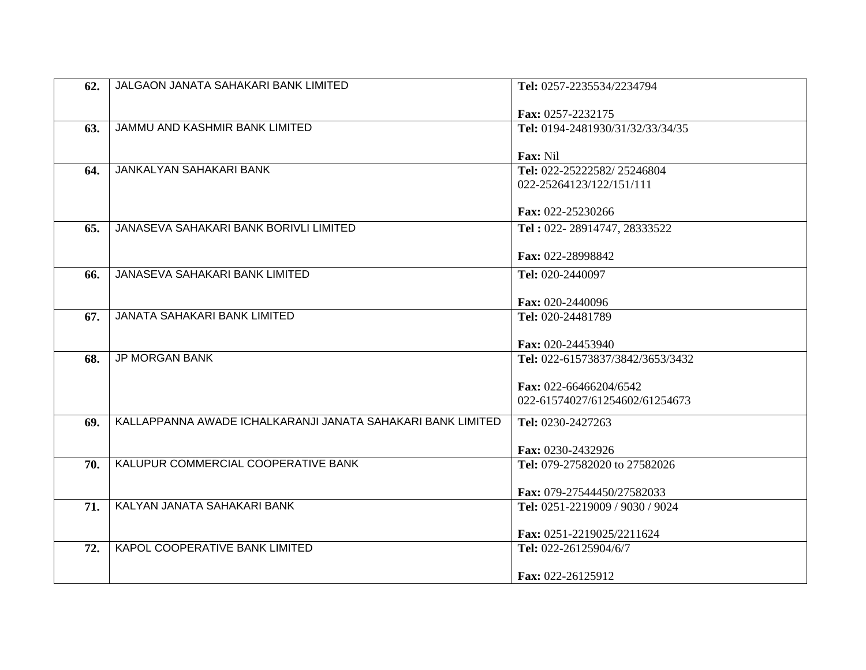| 62. | JALGAON JANATA SAHAKARI BANK LIMITED                        | Tel: 0257-2235534/2234794                     |
|-----|-------------------------------------------------------------|-----------------------------------------------|
|     |                                                             | Fax: 0257-2232175                             |
| 63. | JAMMU AND KASHMIR BANK LIMITED                              | Tel: 0194-2481930/31/32/33/34/35              |
|     |                                                             |                                               |
| 64. | JANKALYAN SAHAKARI BANK                                     | <b>Fax:</b> Nil<br>Tel: 022-25222582/25246804 |
|     |                                                             | 022-25264123/122/151/111                      |
|     |                                                             |                                               |
|     |                                                             | Fax: 022-25230266                             |
| 65. | JANASEVA SAHAKARI BANK BORIVLI LIMITED                      | Tel: 022-28914747, 28333522                   |
|     |                                                             | Fax: 022-28998842                             |
| 66. | JANASEVA SAHAKARI BANK LIMITED                              | Tel: 020-2440097                              |
|     |                                                             | Fax: 020-2440096                              |
| 67. | <b>JANATA SAHAKARI BANK LIMITED</b>                         | Tel: 020-24481789                             |
|     |                                                             |                                               |
|     |                                                             | Fax: 020-24453940                             |
| 68. | <b>JP MORGAN BANK</b>                                       | Tel: 022-61573837/3842/3653/3432              |
|     |                                                             | Fax: 022-66466204/6542                        |
|     |                                                             | 022-61574027/61254602/61254673                |
| 69. | KALLAPPANNA AWADE ICHALKARANJI JANATA SAHAKARI BANK LIMITED | Tel: 0230-2427263                             |
|     |                                                             |                                               |
|     | KALUPUR COMMERCIAL COOPERATIVE BANK                         | Fax: 0230-2432926                             |
| 70. |                                                             | Tel: 079-27582020 to 27582026                 |
|     |                                                             | Fax: 079-27544450/27582033                    |
| 71. | KALYAN JANATA SAHAKARI BANK                                 | Tel: 0251-2219009 / 9030 / 9024               |
|     |                                                             | Fax: 0251-2219025/2211624                     |
| 72. | KAPOL COOPERATIVE BANK LIMITED                              | Tel: 022-26125904/6/7                         |
|     |                                                             |                                               |
|     |                                                             | Fax: 022-26125912                             |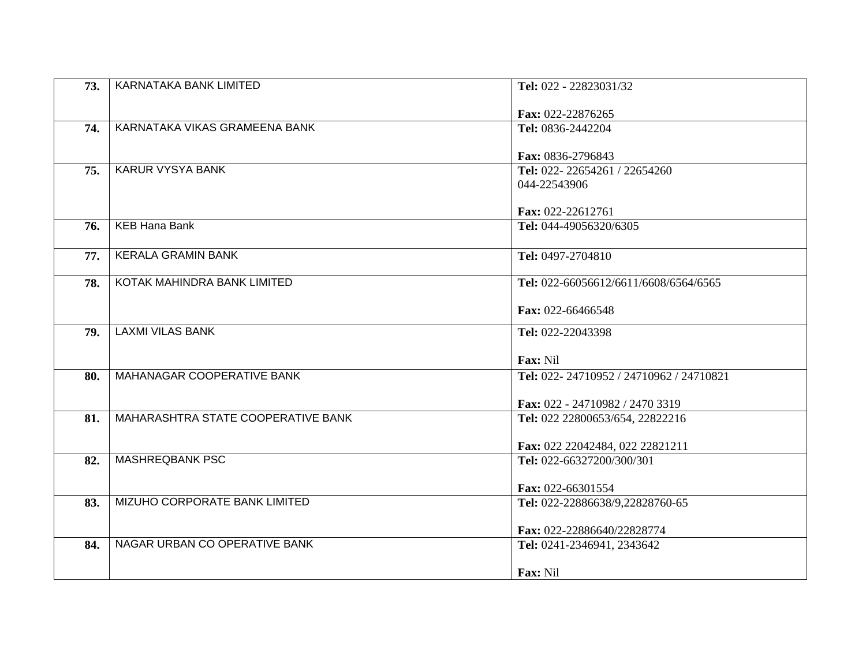| 73. | KARNATAKA BANK LIMITED             | Tel: 022 - 22823031/32                                   |
|-----|------------------------------------|----------------------------------------------------------|
|     |                                    | Fax: 022-22876265                                        |
| 74. | KARNATAKA VIKAS GRAMEENA BANK      | Tel: 0836-2442204                                        |
|     |                                    | Fax: 0836-2796843                                        |
| 75. | <b>KARUR VYSYA BANK</b>            | Tel: 022-22654261 / 22654260                             |
|     |                                    | 044-22543906                                             |
|     |                                    | Fax: 022-22612761                                        |
| 76. | <b>KEB Hana Bank</b>               | Tel: 044-49056320/6305                                   |
| 77. | <b>KERALA GRAMIN BANK</b>          | Tel: 0497-2704810                                        |
|     | KOTAK MAHINDRA BANK LIMITED        |                                                          |
| 78. |                                    | Tel: 022-66056612/6611/6608/6564/6565                    |
|     |                                    | Fax: 022-66466548                                        |
| 79. | <b>LAXMI VILAS BANK</b>            | Tel: 022-22043398                                        |
|     |                                    | Fax: Nil                                                 |
| 80. | MAHANAGAR COOPERATIVE BANK         | Tel: 022-24710952 / 24710962 / 24710821                  |
|     |                                    | Fax: 022 - 24710982 / 2470 3319                          |
| 81. | MAHARASHTRA STATE COOPERATIVE BANK | Tel: 022 22800653/654, 22822216                          |
|     |                                    | Fax: 022 22042484, 022 22821211                          |
| 82. | <b>MASHREQBANK PSC</b>             | Tel: 022-66327200/300/301                                |
|     |                                    | Fax: 022-66301554                                        |
| 83. | MIZUHO CORPORATE BANK LIMITED      | Tel: 022-22886638/9,22828760-65                          |
|     |                                    |                                                          |
| 84. | NAGAR URBAN CO OPERATIVE BANK      | Fax: 022-22886640/22828774<br>Tel: 0241-2346941, 2343642 |
|     |                                    |                                                          |
|     |                                    | Fax: Nil                                                 |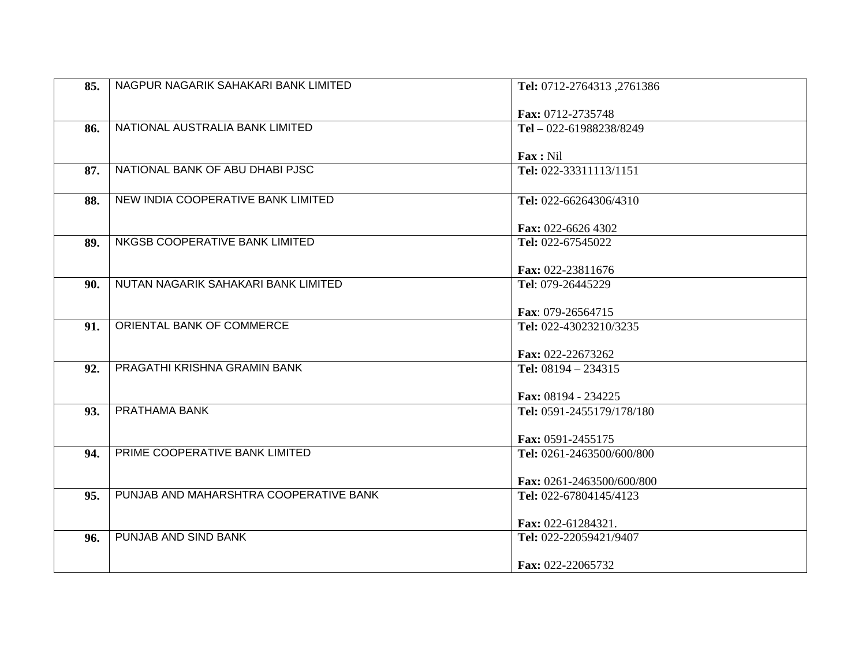| 85. | NAGPUR NAGARIK SAHAKARI BANK LIMITED   | Tel: 0712-2764313, 2761386                          |
|-----|----------------------------------------|-----------------------------------------------------|
|     |                                        | Fax: 0712-2735748                                   |
| 86. | NATIONAL AUSTRALIA BANK LIMITED        | Tel - 022-61988238/8249                             |
|     |                                        |                                                     |
|     |                                        | Fax: Nil                                            |
| 87. | NATIONAL BANK OF ABU DHABI PJSC        | Tel: 022-33311113/1151                              |
|     |                                        |                                                     |
| 88. | NEW INDIA COOPERATIVE BANK LIMITED     | Tel: 022-66264306/4310                              |
|     |                                        | Fax: 022-6626 4302                                  |
| 89. | NKGSB COOPERATIVE BANK LIMITED         | Tel: 022-67545022                                   |
|     |                                        |                                                     |
|     |                                        | Fax: 022-23811676                                   |
| 90. | NUTAN NAGARIK SAHAKARI BANK LIMITED    | Tel: 079-26445229                                   |
|     |                                        | Fax: 079-26564715                                   |
| 91. | ORIENTAL BANK OF COMMERCE              | Tel: 022-43023210/3235                              |
|     |                                        |                                                     |
|     |                                        | Fax: 022-22673262                                   |
| 92. | PRAGATHI KRISHNA GRAMIN BANK           | Tel: $08194 - 234315$                               |
|     |                                        | Fax: 08194 - 234225                                 |
| 93. | PRATHAMA BANK                          | Tel: 0591-2455179/178/180                           |
|     |                                        |                                                     |
|     |                                        | Fax: 0591-2455175                                   |
| 94. | PRIME COOPERATIVE BANK LIMITED         | Tel: 0261-2463500/600/800                           |
|     |                                        |                                                     |
| 95. | PUNJAB AND MAHARSHTRA COOPERATIVE BANK | Fax: 0261-2463500/600/800<br>Tel: 022-67804145/4123 |
|     |                                        |                                                     |
|     |                                        | Fax: 022-61284321.                                  |
| 96. | PUNJAB AND SIND BANK                   | Tel: 022-22059421/9407                              |
|     |                                        |                                                     |
|     |                                        | Fax: 022-22065732                                   |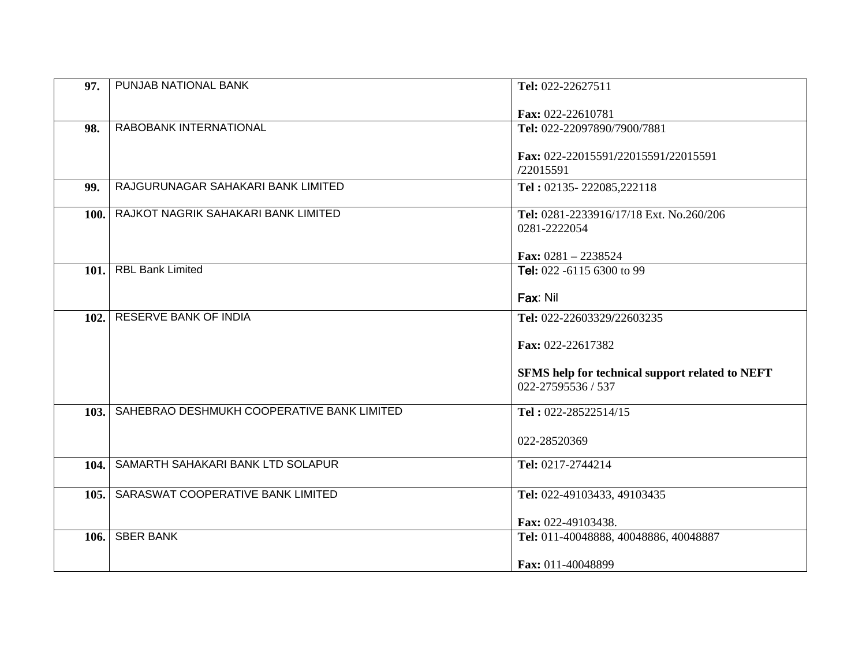| 97.  | PUNJAB NATIONAL BANK                       | Tel: 022-22627511                               |
|------|--------------------------------------------|-------------------------------------------------|
|      |                                            | Fax: 022-22610781                               |
| 98.  | RABOBANK INTERNATIONAL                     | Tel: 022-22097890/7900/7881                     |
|      |                                            | Fax: 022-22015591/22015591/22015591             |
|      |                                            | /22015591                                       |
| 99.  | RAJGURUNAGAR SAHAKARI BANK LIMITED         | Tel: 02135-222085,222118                        |
| 100. | RAJKOT NAGRIK SAHAKARI BANK LIMITED        | Tel: 0281-2233916/17/18 Ext. No.260/206         |
|      |                                            | 0281-2222054                                    |
|      |                                            | Fax: $0281 - 2238524$                           |
| 101. | <b>RBL Bank Limited</b>                    | Tel: 022 -6115 6300 to 99                       |
|      |                                            | Fax: Nil                                        |
| 102. | <b>RESERVE BANK OF INDIA</b>               | Tel: 022-22603329/22603235                      |
|      |                                            | Fax: 022-22617382                               |
|      |                                            | SFMS help for technical support related to NEFT |
|      |                                            | 022-27595536 / 537                              |
| 103. | SAHEBRAO DESHMUKH COOPERATIVE BANK LIMITED | Tel: 022-28522514/15                            |
|      |                                            | 022-28520369                                    |
| 104. | SAMARTH SAHAKARI BANK LTD SOLAPUR          | Tel: 0217-2744214                               |
|      |                                            |                                                 |
| 105. | SARASWAT COOPERATIVE BANK LIMITED          | Tel: 022-49103433, 49103435                     |
|      |                                            | Fax: 022-49103438.                              |
| 106. | <b>SBER BANK</b>                           | Tel: 011-40048888, 40048886, 40048887           |
|      |                                            | Fax: 011-40048899                               |
|      |                                            |                                                 |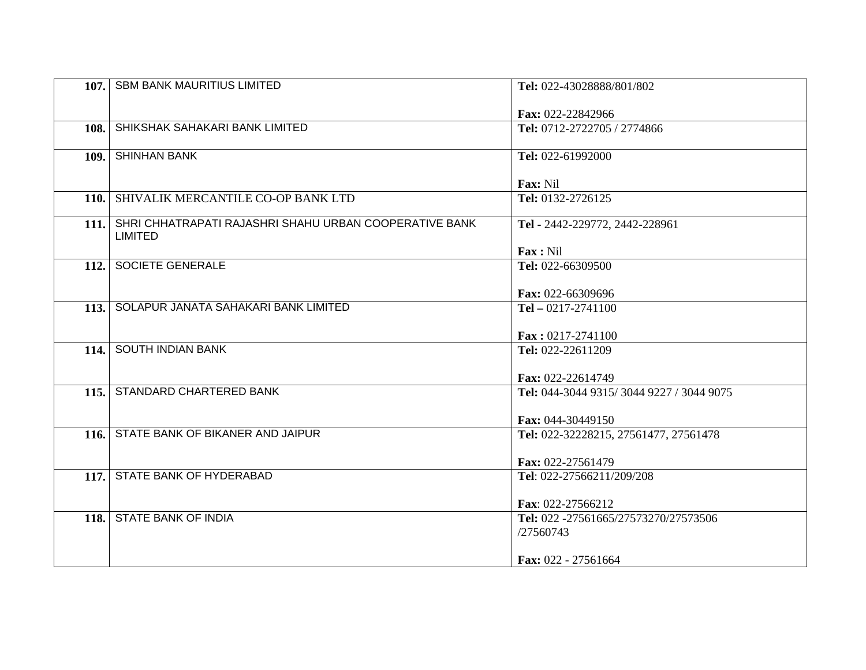|       | 107. SBM BANK MAURITIUS LIMITED                        | Tel: 022-43028888/801/802                           |
|-------|--------------------------------------------------------|-----------------------------------------------------|
|       |                                                        |                                                     |
|       | SHIKSHAK SAHAKARI BANK LIMITED                         | Fax: 022-22842966                                   |
| 108.  |                                                        | Tel: 0712-2722705 / 2774866                         |
| 109.1 | <b>SHINHAN BANK</b>                                    | Tel: 022-61992000                                   |
|       |                                                        |                                                     |
|       |                                                        | Fax: Nil                                            |
|       | 110. SHIVALIK MERCANTILE CO-OP BANK LTD                | Tel: 0132-2726125                                   |
| 111.  | SHRI CHHATRAPATI RAJASHRI SHAHU URBAN COOPERATIVE BANK | Tel - 2442-229772, 2442-228961                      |
|       | LIMITED                                                |                                                     |
|       |                                                        | Fax: Nil                                            |
| 112.  | SOCIETE GENERALE                                       | Tel: 022-66309500                                   |
|       |                                                        |                                                     |
|       |                                                        | Fax: 022-66309696                                   |
|       | 113. SOLAPUR JANATA SAHAKARI BANK LIMITED              | Tel $-0217-2741100$                                 |
|       |                                                        |                                                     |
|       | 114. SOUTH INDIAN BANK                                 | $\textbf{Fax}: 0217 - 2741100$<br>Tel: 022-22611209 |
|       |                                                        |                                                     |
|       |                                                        | Fax: 022-22614749                                   |
|       | 115. STANDARD CHARTERED BANK                           | Tel: 044-3044 9315/3044 9227 / 3044 9075            |
|       |                                                        |                                                     |
|       |                                                        | Fax: 044-30449150                                   |
| 116.  | STATE BANK OF BIKANER AND JAIPUR                       | Tel: 022-32228215, 27561477, 27561478               |
|       |                                                        |                                                     |
|       |                                                        | Fax: 022-27561479                                   |
| 117.  | STATE BANK OF HYDERABAD                                | Tel: 022-27566211/209/208                           |
|       |                                                        |                                                     |
|       |                                                        | Fax: 022-27566212                                   |
|       | 118. STATE BANK OF INDIA                               | Tel: 022 -27561665/27573270/27573506                |
|       |                                                        | /27560743                                           |
|       |                                                        |                                                     |
|       |                                                        | Fax: 022 - 27561664                                 |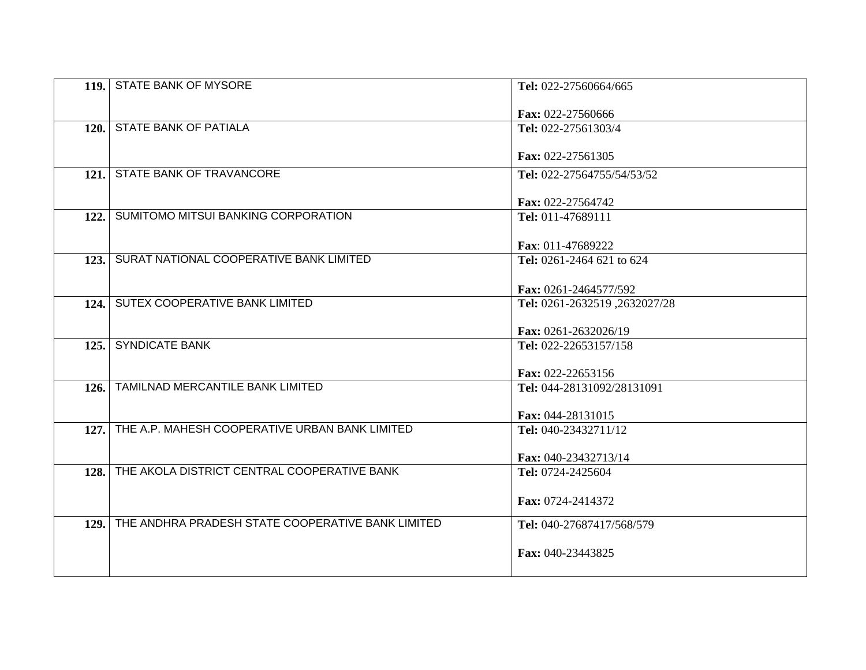|      | 119. STATE BANK OF MYSORE                         | Tel: 022-27560664/665        |
|------|---------------------------------------------------|------------------------------|
|      |                                                   | Fax: 022-27560666            |
|      | 120. STATE BANK OF PATIALA                        | Tel: 022-27561303/4          |
|      |                                                   | Fax: 022-27561305            |
|      | 121. STATE BANK OF TRAVANCORE                     | Tel: 022-27564755/54/53/52   |
|      |                                                   |                              |
|      |                                                   | Fax: 022-27564742            |
| 122. | SUMITOMO MITSUI BANKING CORPORATION               | Tel: 011-47689111            |
|      |                                                   | Fax: 011-47689222            |
|      | 123. SURAT NATIONAL COOPERATIVE BANK LIMITED      | Tel: 0261-2464 621 to 624    |
|      |                                                   |                              |
|      |                                                   | Fax: 0261-2464577/592        |
|      | 124. SUTEX COOPERATIVE BANK LIMITED               | Tel: 0261-2632519,2632027/28 |
|      |                                                   | Fax: 0261-2632026/19         |
|      | 125. SYNDICATE BANK                               | Tel: 022-22653157/158        |
|      |                                                   |                              |
|      |                                                   | Fax: 022-22653156            |
| 126. | TAMILNAD MERCANTILE BANK LIMITED                  | Tel: 044-28131092/28131091   |
|      |                                                   | Fax: 044-28131015            |
| 127. | THE A.P. MAHESH COOPERATIVE URBAN BANK LIMITED    | Tel: 040-23432711/12         |
|      |                                                   |                              |
|      |                                                   | Fax: 040-23432713/14         |
| 128. | THE AKOLA DISTRICT CENTRAL COOPERATIVE BANK       | Tel: 0724-2425604            |
|      |                                                   |                              |
|      |                                                   | Fax: 0724-2414372            |
| 129. | THE ANDHRA PRADESH STATE COOPERATIVE BANK LIMITED | Tel: 040-27687417/568/579    |
|      |                                                   |                              |
|      |                                                   | Fax: 040-23443825            |
|      |                                                   |                              |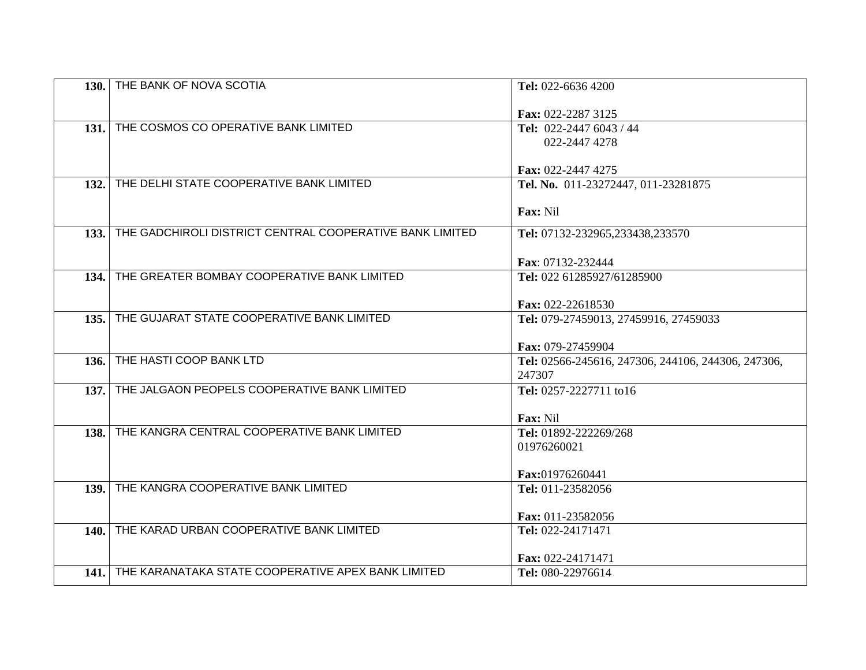|             | 130. THE BANK OF NOVA SCOTIA                             | Tel: 022-6636 4200                                         |
|-------------|----------------------------------------------------------|------------------------------------------------------------|
|             |                                                          |                                                            |
|             |                                                          | Fax: 022-2287 3125                                         |
|             | 131. THE COSMOS CO OPERATIVE BANK LIMITED                | Tel: 022-2447 6043 / 44                                    |
|             |                                                          | 022-2447 4278                                              |
|             |                                                          |                                                            |
|             |                                                          | Fax: 022-2447 4275                                         |
| 132.        | THE DELHI STATE COOPERATIVE BANK LIMITED                 | Tel. No. 011-23272447, 011-23281875                        |
|             |                                                          | Fax: Nil                                                   |
|             |                                                          |                                                            |
| 133.        | THE GADCHIROLI DISTRICT CENTRAL COOPERATIVE BANK LIMITED | Tel: 07132-232965,233438,233570                            |
|             |                                                          |                                                            |
|             |                                                          | Fax: 07132-232444                                          |
|             | 134. THE GREATER BOMBAY COOPERATIVE BANK LIMITED         | Tel: 022 61285927/61285900                                 |
|             |                                                          |                                                            |
|             | 135. THE GUJARAT STATE COOPERATIVE BANK LIMITED          | Fax: 022-22618530<br>Tel: 079-27459013, 27459916, 27459033 |
|             |                                                          |                                                            |
|             |                                                          | Fax: 079-27459904                                          |
| 136.        | THE HASTI COOP BANK LTD                                  | Tel: 02566-245616, 247306, 244106, 244306, 247306,         |
|             |                                                          | 247307                                                     |
|             | 137. THE JALGAON PEOPELS COOPERATIVE BANK LIMITED        | Tel: 0257-2227711 to16                                     |
|             |                                                          |                                                            |
|             |                                                          | Fax: Nil                                                   |
| 138.        | THE KANGRA CENTRAL COOPERATIVE BANK LIMITED              | Tel: 01892-222269/268                                      |
|             |                                                          | 01976260021                                                |
|             |                                                          |                                                            |
| 139.        | THE KANGRA COOPERATIVE BANK LIMITED                      | Fax:01976260441<br>Tel: 011-23582056                       |
|             |                                                          |                                                            |
|             |                                                          | Fax: 011-23582056                                          |
| <b>140.</b> | THE KARAD URBAN COOPERATIVE BANK LIMITED                 | Tel: 022-24171471                                          |
|             |                                                          |                                                            |
|             |                                                          | Fax: 022-24171471                                          |
|             | 141. THE KARANATAKA STATE COOPERATIVE APEX BANK LIMITED  | Tel: 080-22976614                                          |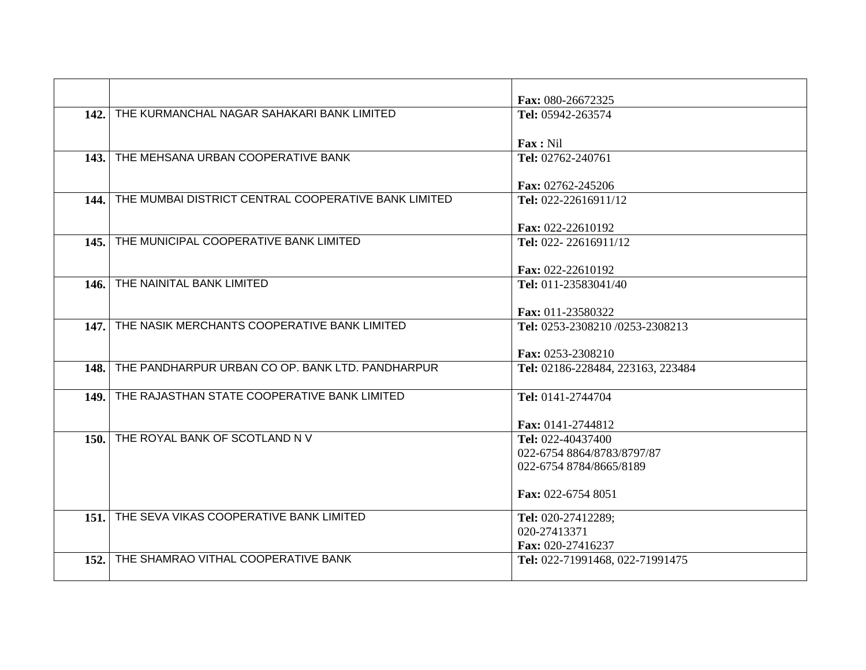|             |                                                      | Fax: 080-26672325                                    |
|-------------|------------------------------------------------------|------------------------------------------------------|
|             | 142. THE KURMANCHAL NAGAR SAHAKARI BANK LIMITED      | Tel: 05942-263574                                    |
|             |                                                      | Fax: Nil                                             |
|             | 143. THE MEHSANA URBAN COOPERATIVE BANK              | Tel: 02762-240761                                    |
|             |                                                      | Fax: 02762-245206                                    |
| 144.        | THE MUMBAI DISTRICT CENTRAL COOPERATIVE BANK LIMITED | Tel: 022-22616911/12                                 |
| 145.1       | THE MUNICIPAL COOPERATIVE BANK LIMITED               | Fax: 022-22610192<br>Tel: 022-22616911/12            |
|             |                                                      |                                                      |
| 146.        | THE NAINITAL BANK LIMITED                            | Fax: 022-22610192<br>Tel: 011-23583041/40            |
|             |                                                      |                                                      |
| 147.        | THE NASIK MERCHANTS COOPERATIVE BANK LIMITED         | Fax: 011-23580322<br>Tel: 0253-2308210/0253-2308213  |
|             |                                                      |                                                      |
|             |                                                      | Fax: 0253-2308210                                    |
| <b>148.</b> | THE PANDHARPUR URBAN CO OP. BANK LTD. PANDHARPUR     | Tel: 02186-228484, 223163, 223484                    |
| 149.        | THE RAJASTHAN STATE COOPERATIVE BANK LIMITED         | Tel: 0141-2744704                                    |
|             |                                                      | Fax: 0141-2744812                                    |
|             | 150. THE ROYAL BANK OF SCOTLAND N V                  | Tel: 022-40437400                                    |
|             |                                                      | 022-6754 8864/8783/8797/87                           |
|             |                                                      | 022-6754 8784/8665/8189                              |
|             |                                                      | Fax: 022-6754 8051                                   |
|             | 151. THE SEVA VIKAS COOPERATIVE BANK LIMITED         | Tel: 020-27412289;                                   |
|             |                                                      | 020-27413371                                         |
| 152.        | THE SHAMRAO VITHAL COOPERATIVE BANK                  | Fax: 020-27416237<br>Tel: 022-71991468, 022-71991475 |
|             |                                                      |                                                      |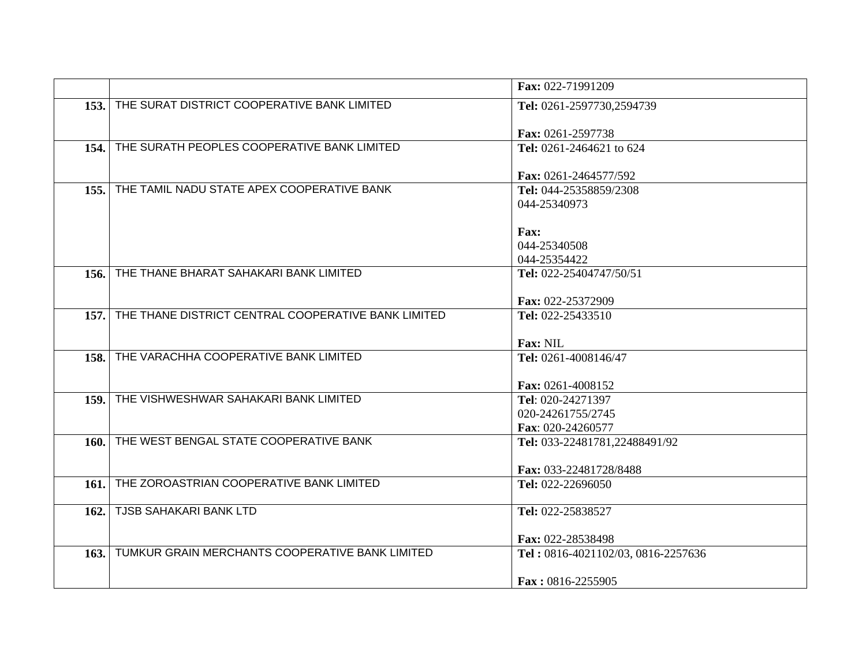|             |                                                     | Fax: 022-71991209                  |
|-------------|-----------------------------------------------------|------------------------------------|
|             | 153. THE SURAT DISTRICT COOPERATIVE BANK LIMITED    | Tel: 0261-2597730,2594739          |
|             |                                                     |                                    |
|             | THE SURATH PEOPLES COOPERATIVE BANK LIMITED         | Fax: 0261-2597738                  |
| 154.        |                                                     | Tel: 0261-2464621 to 624           |
|             |                                                     | Fax: 0261-2464577/592              |
| 155.        | THE TAMIL NADU STATE APEX COOPERATIVE BANK          | Tel: 044-25358859/2308             |
|             |                                                     | 044-25340973                       |
|             |                                                     |                                    |
|             |                                                     | <b>Fax:</b>                        |
|             |                                                     | 044-25340508                       |
|             |                                                     | 044-25354422                       |
| 156.        | THE THANE BHARAT SAHAKARI BANK LIMITED              | Tel: 022-25404747/50/51            |
|             |                                                     |                                    |
|             |                                                     | Fax: 022-25372909                  |
| 157.        | THE THANE DISTRICT CENTRAL COOPERATIVE BANK LIMITED | Tel: 022-25433510                  |
|             |                                                     |                                    |
|             |                                                     | <b>Fax: NIL</b>                    |
| 158.        | THE VARACHHA COOPERATIVE BANK LIMITED               | Tel: 0261-4008146/47               |
|             |                                                     |                                    |
|             |                                                     | Fax: 0261-4008152                  |
| 159.        | THE VISHWESHWAR SAHAKARI BANK LIMITED               | Tel: 020-24271397                  |
|             |                                                     | 020-24261755/2745                  |
|             |                                                     | Fax: 020-24260577                  |
| 160.        | THE WEST BENGAL STATE COOPERATIVE BANK              | Tel: 033-22481781,22488491/92      |
|             |                                                     |                                    |
|             |                                                     | Fax: 033-22481728/8488             |
| <b>161.</b> | THE ZOROASTRIAN COOPERATIVE BANK LIMITED            | Tel: 022-22696050                  |
|             |                                                     |                                    |
| 162.        | <b>TJSB SAHAKARI BANK LTD</b>                       | Tel: 022-25838527                  |
|             |                                                     |                                    |
|             |                                                     | Fax: 022-28538498                  |
| 163.1       | TUMKUR GRAIN MERCHANTS COOPERATIVE BANK LIMITED     | Tel: 0816-4021102/03, 0816-2257636 |
|             |                                                     |                                    |
|             |                                                     | Fax: 0816-2255905                  |